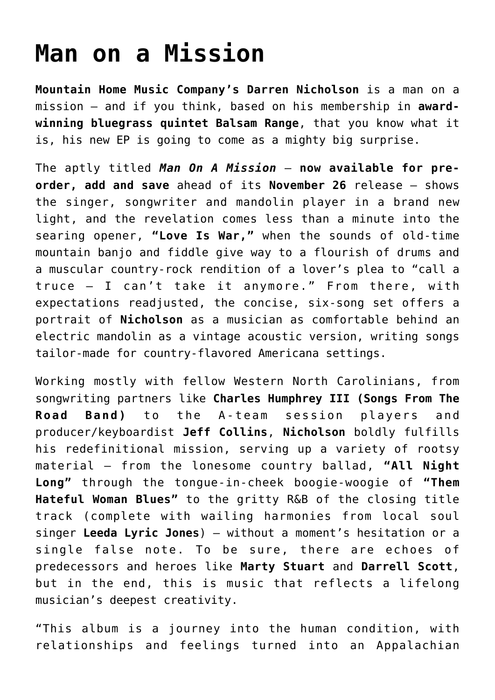## **[Man on a Mission](https://thebluegrassstandard.com/man-on-a-mission/)**

**Mountain Home Music Company's Darren Nicholson** is a man on a mission — and if you think, based on his membership in **awardwinning bluegrass quintet Balsam Range**, that you know what it is, his new EP is going to come as a mighty big surprise.

The aptly titled *Man On A Mission* — **now available for preorder, add and save** ahead of its **November 26** release — shows the singer, songwriter and mandolin player in a brand new light, and the revelation comes less than a minute into the searing opener, **"Love Is War,"** when the sounds of old-time mountain banjo and fiddle give way to a flourish of drums and a muscular country-rock rendition of a lover's plea to "call a truce — I can't take it anymore." From there, with expectations readjusted, the concise, six-song set offers a portrait of **Nicholson** as a musician as comfortable behind an electric mandolin as a vintage acoustic version, writing songs tailor-made for country-flavored Americana settings.

Working mostly with fellow Western North Carolinians, from songwriting partners like **Charles Humphrey III (Songs From The Road Band)** to the A-team session players and producer/keyboardist **Jeff Collins**, **Nicholson** boldly fulfills his redefinitional mission, serving up a variety of rootsy material — from the lonesome country ballad, **"All Night Long"** through the tongue-in-cheek boogie-woogie of **"Them Hateful Woman Blues"** to the gritty R&B of the closing title track (complete with wailing harmonies from local soul singer **Leeda Lyric Jones**) — without a moment's hesitation or a single false note. To be sure, there are echoes of predecessors and heroes like **Marty Stuart** and **Darrell Scott**, but in the end, this is music that reflects a lifelong musician's deepest creativity.

"This album is a journey into the human condition, with relationships and feelings turned into an Appalachian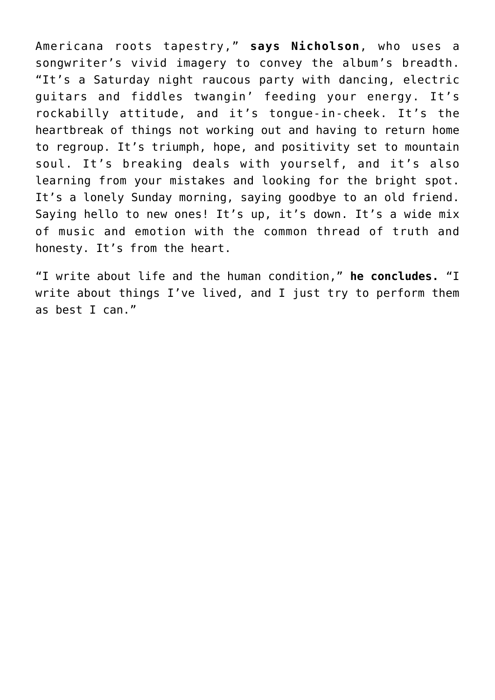Americana roots tapestry," **says Nicholson**, who uses a songwriter's vivid imagery to convey the album's breadth. "It's a Saturday night raucous party with dancing, electric guitars and fiddles twangin' feeding your energy. It's rockabilly attitude, and it's tongue-in-cheek. It's the heartbreak of things not working out and having to return home to regroup. It's triumph, hope, and positivity set to mountain soul. It's breaking deals with yourself, and it's also learning from your mistakes and looking for the bright spot. It's a lonely Sunday morning, saying goodbye to an old friend. Saving hello to new ones! It's up, it's down. It's a wide mix of music and emotion with the common thread of truth and honesty. It's from the heart.

"I write about life and the human condition," **he concludes.** "I write about things I've lived, and I just try to perform them as best I can."